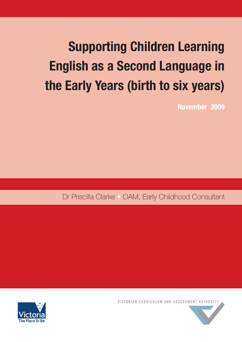# **Supporting Children Learning English as a Second Language in the Early Years (birth to six years)**

**November 2009**

Dr Priscilla Clarke **•** OAM, Early Childhood Consultant





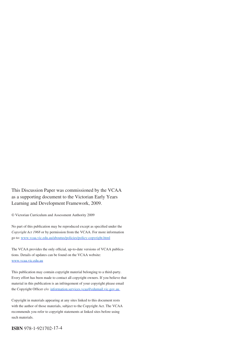This Discussion Paper was commissioned by the VCAA as a supporting document to the Victorian Early Years Learning and Development Framework, 2009.

© Victorian Curriculum and Assessment Authority 2009

No part of this publication may be reproduced except as specified under the *Copyright Act 1968* or by permission from the VCAA. For more information go to: [www.vcaa.vic.edu.au/aboutus/policies/policy-copyright.html](http://www.vcaa.vic.edu.au/aboutus/policies/policy-copyright.html)

The VCAA provides the only official, up-to-date versions of VCAA publications. Details of updates can be found on the VCAA website: [www.vcaa.vic.edu.au](http://www.vcaa.vic.edu.au)

This publication may contain copyright material belonging to a third-party. Every effort has been made to contact all copyright owners. If you believe that material in this publication is an infringement of your copyright please email the Copyright Officer c/o: [information.services.vcaa@edumail.vic.gov.au](mailto:information.services.vcaa@edumail.vic.gov.au)

Copyright in materials appearing at any sites linked to this document rests with the author of those materials, subject to the Copyright Act. The VCAA recommends you refer to copyright statements at linked sites before using such materials.

**ISBN** 978-1-921702-17-4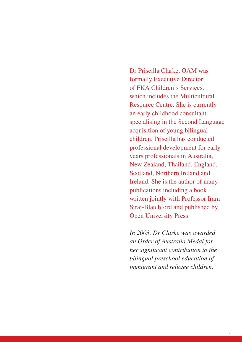Dr Priscilla Clarke, OAM was formally Executive Director of FKA Children's Services, which includes the Multicultural Resource Centre. She is currently an early childhood consultant specialising in the Second Language acquisition of young bilingual children. Priscilla has conducted professional development for early years professionals in Australia, New Zealand, Thailand, England, Scotland, Northern Ireland and Ireland. She is the author of many publications including a book written jointly with Professor Iram Siraj-Blatchford and published by Open University Press.

*In 2003, Dr Clarke was awarded an Order of Australia Medal for her significant contribution to the bilingual preschool education of immigrant and refugee children.*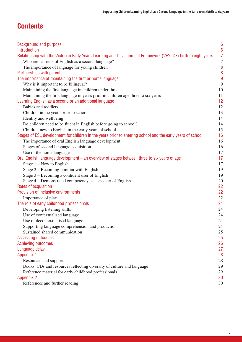# **Contents**

| <b>Background and purpose</b>                                                                                | $6\phantom{1}6$  |
|--------------------------------------------------------------------------------------------------------------|------------------|
| Introduction                                                                                                 | $6\phantom{1}6$  |
| Relationship with the Victorian Early Years Learning and Development Framework (VEYLDF) birth to eight years | $\overline{7}$   |
| Who are learners of English as a second language?                                                            | $\boldsymbol{7}$ |
| The importance of language for young children                                                                | $\,8\,$          |
| Partnerships with parents                                                                                    | 8                |
| The importance of maintaining the first or home language                                                     | 9                |
| Why is it important to be bilingual?                                                                         | 9                |
| Maintaining the first language in children under three                                                       | 10               |
| Maintaining the first language in years prior in children age three to six years                             | 11               |
| Learning English as a second or an additional language                                                       | 12               |
| Babies and toddlers                                                                                          | 12               |
| Children in the years prior to school                                                                        | 13               |
| Identity and wellbeing                                                                                       | 14               |
| Do children need to be fluent in English before going to school?                                             | 14               |
| Children new to English in the early years of school                                                         | 15               |
| Stages of ESL development for children in the years prior to entering school and the early years of school   | 16               |
| The importance of oral English language development                                                          | 16               |
| Stages of second language acquisition                                                                        | 16               |
| Use of the home language                                                                                     | 17               |
| Oral English language development – an overview of stages between three to six years of age                  | 17               |
| Stage $1 - New$ to English                                                                                   | 17               |
| Stage 2 – Becoming familiar with English                                                                     | 19               |
| Stage 3 – Becoming a confident user of English                                                               | 19               |
| Stage 4 – Demonstrated competency as a speaker of English                                                    | 20               |
| Rates of acquisition                                                                                         | 22               |
| Provision of inclusive environments                                                                          | 22               |
| Importance of play                                                                                           | 22               |
| The role of early childhood professionals                                                                    | 24               |
| Developing listening skills                                                                                  | 24               |
| Use of contextualised language                                                                               | 24               |
| Use of decontextualised language                                                                             | 24               |
| Supporting language comprehension and production                                                             | 24               |
| Sustained shared communication                                                                               | 25               |
| Assessing outcomes                                                                                           | 25               |
| Achieving outcomes                                                                                           | 26               |
| Language delay                                                                                               | 27               |
| <b>Appendix 1</b>                                                                                            | 28               |
| Resources and support                                                                                        | 28               |
| Books, CDs and resources reflecting diversity of culture and language                                        | 29               |
| Reference material for early childhood professionals                                                         | 29               |
| <b>Appendix 2</b>                                                                                            | 30               |
| References and further reading                                                                               | 30               |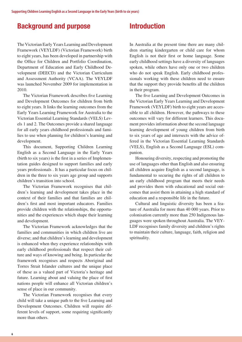# <span id="page-5-0"></span>**Background and purpose**

The Victorian Early Years Learning and Development Framework (VEYLDF) (Victorian Framework) birth to eight years, has been developed in partnership with the Office for Children and Portfolio Coordination, Department of Education and Early Childhood Development (DEECD) and the Victorian Curriculum and Assessment Authority (VCAA). The VEYLDF was launched November 2009 for implementation in 2010.

The Victorian Framework describes five Learning and Development Outcomes for children from birth to eight years. It links the learning outcomes from the Early Years Learning Framework for Australia to the Victorian Essential Learning Standards (VELS) Levels 1 and 2. The Outcomes provide a shared language for all early years childhood professionals and families to use when planning for children's learning and development.

This document, Supporting Children Learning English as a Second Language in the Early Years (birth to six years) is the first in a series of Implementation guides designed to support families and early years professionals . It has a particular focus on children in the three to six years age group and supports children's transition into school.

The Victorian Framework recognises that children's learning and development takes place in the context of their families and that families are children's first and most important educators. Families provide children with the relationships, the opportunities and the experiences which shape their learning and development.

The Victorian Framework acknowledges that the families and communities in which children live are diverse; and that children's learning and development is enhanced when they experience relationships with early childhood professionals that respect their culture and ways of knowing and being. In particular the framework recognises and respects Aboriginal and Torres Strait Islander cultures and the unique place of these as a valued part of Victoria's heritage and future. Learning about and valuing the place of first nations people will enhance all Victorian children's sense of place in our community.

The Victorian Framework recognises that every child will take a unique path to the five Learning and Development Outcomes. Children will require different levels of support, some requiring significantly more than others.

# **Introduction**

In Australia at the present time there are many children starting kindergarten or child care for whom English is not their first or home language. Some early childhood settings have a diversity of languages spoken, while others have only one or two children who do not speak English. Early childhood professionals working with these children need to ensure that the support they provide benefits all the children in their program.

The five Learning and Development Outcomes in the Victorian Early Years Learning and Development Framework (VEYLDF) birth to eight years are accessible to all children. However, the pathways to these outcomes will vary for different learners. This document provides information about the second language learning development of young children from birth to six years of age and intersects with the advice offered in the Victorian Essential Learning Standards (VELS), English as a Second Language (ESL) companion.

Honouring diversity, respecting and promoting the use of languages other than English and also ensuring all children acquire English as a second language, is fundamental to securing the rights of all children to an early childhood program that meets their needs and provides them with educational and social outcomes that assist them in attaining a high standard of education and a responsible life in the future.

Cultural and linguistic diversity has been a feature of Australia for more than 40 000 years. Prior to colonisation currently more than 250 Indigenous languages were spoken throughout Australia. The VEY-LDF recognises family diversity and children's rights to maintain their culture, language, faith, religion and spirituality.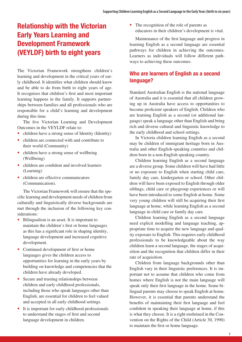# <span id="page-6-0"></span>**Relationship with the Victorian Early Years Learning and Development Framework (VEYLDF) birth to eight years**

The Victorian Framework strengthens children's learning and development in the critical years of early childhood. It identifies what children should know and be able to do from birth to eight years of age. It recognises that children's first and most important learning happens in the family. It supports partnerships between families and all professionals who are responsible for a child's learning and development during this time.

The five Victorian Learning and Development Outcomes in the VEYLDF relate to:

- children have a strong sense of Identity (Identity)
- children are connected with and contribute to their world (Community)
- children have a strong sense of wellbeing (Wellbeing)
- children are confident and involved learners (Learning)
- children are effective communicators (Communication).

The Victorian Framework will ensure that the specific learning and development needs of children from culturally and linguistically diverse backgrounds are met through the inclusion of the following key considerations:

- Bilingualism is an asset. It is important to maintain the children's first or home languages as this has a significant role in shaping identity, language development and increased cognitive development.
- Continued development of first or home languages gives the children access to opportunities for learning in the early years by building on knowledge and competencies that the children have already developed.
- Secure and trusting relationships between children and early childhood professionals, including those who speak languages other than English, are essential for children to feel valued and accepted in all early childhood settings.
- It is important for early childhood professionals to understand the stages of first and second language development in children.

• The recognition of the role of parents as educators in their children's development is vital.

Maintenance of the first language and progress in learning English as a second language are essential pathways for children in achieving the outcomes. Learners as individuals will follow different pathways to achieving these outcomes.

### **Who are learners of English as a second language?**

Standard Australian English is the national language of Australia and it is essential that all children growing up in Australia have access to opportunities to become proficient speakers of English. Children who are learning English as a second (or additional language) speak a language other than English and bring rich and diverse cultural and linguistic knowledge to the early childhood and school settings.

In Victoria children learning English as a second may be children of immigrant heritage born in Australia and other English-speaking countries and children born in a non-English speaking country.

Children learning English as a second language are a diverse group. Some children will have had little or no exposure to English when starting child care, family day care, kindergarten or school. Other children will have been exposed to English through older siblings, child care or playgroup experiences or will have been introduced to some English at home. Some very young children will still be acquiring their first language at home, while learning English as a second language in child care or family day care.

Children learning English as a second language need explicit modelling and language teaching, appropriate time to acquire the new language and quality exposure to English. This requires early childhood professionals to be knowledgeable about the way children learn a second language, the stages of acquisition and the recognition that children differ in their rate of acquisition.

Children from language backgrounds other than English vary in their linguistic preferences. It is important not to assume that children who come from homes where English is not the main language will speak only their first language in the home. Some bilingual parents may choose to speak English at home. However, it is essential that parents understand the benefits of maintaining their first language and feel confident in speaking their language at home, if this is what they choose. It is a right enshrined in the Convention on the Rights of the Child (Article 30, 1990) to maintain the first or home language.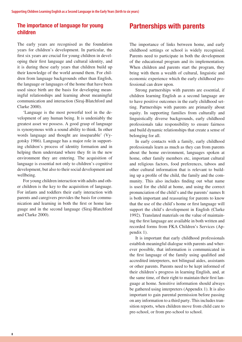### <span id="page-7-0"></span>**The importance of language for young children**

The early years are recognised as the foundation years for children's development. In particular, the first six years are crucial for young children in developing their first language and cultural identity, and it is during these early years that children build up their knowledge of the world around them. For children from language backgrounds other than English, the language or languages of the home that have been used since birth are the basis for developing meaningful relationships and learning about meaningful communication and interaction (Siraj-Blatchford and Clarke 2000).

'Language is the most powerful tool in the development of any human being. It is undeniably the greatest asset we possess. A good grasp of language is synonymous with a sound ability to think. In other words language and thought are inseparable' (Vygotsky 1986). Language has a major role in supporting children's process of identity formation and in helping them understand where they fit in the new environment they are entering. The acquisition of language is essential not only to children's cognitive development, but also to their social development and wellbeing.

For young children interaction with adults and other children is the key to the acquisition of language. For infants and toddlers their early interaction with parents and caregivers provides the basis for communication and learning in both the first or home language and in the second language (Siraj-Blatchford and Clarke 2000).

# **Partnerships with parents**

The importance of links between home, and early childhood settings or school is widely recognised. Parents need to participate in both the development of the educational program and its implementation. When children and parents start the program, they bring with them a wealth of cultural, linguistic and economic experience which the early childhood professional can draw upon.

Strong partnerships with parents are essential, if children learning English as a second language are to have positive outcomes in the early childhood setting. Partnerships with parents are primarily about equity. In supporting families from culturally and linguistically diverse backgrounds, early childhood professionals take responsibility to ensure fairness and build dynamic relationships that create a sense of belonging for all.

In early contacts with a family, early childhood professionals learn as much as they can from parents about the home environment, languages spoken at home, other family members etc, important cultural and religious factors, food preferences, taboos and other cultural information that is relevant to building up a profile of the child, the family and the community. This also includes finding out what name is used for the child at home, and using the correct pronunciation of the child's and the parents' names It is both important and reassuring for parents to know that the use of the child's home or first language will support the child's development in English (Clarke 1992). Translated materials on the value of maintaining the first language are available in both written and recorded forms from FKA Children's Services (Appendix 1).

It is important that early childhood professionals establish meaningful dialogue with parents and wherever possible, that information is communicated in the first language of the family using qualified and accredited interpreters, not bilingual aides, assistants or other parents. Parents need to be kept informed of their children's progress in learning English, and, at the same time, of their right to maintain their first language at home. Sensitive information should always be gathered using interpreters (Appendix 1). It is also important to gain parental permission before passing on any information to a third party. This includes transition reports, when children move from child care to pre-school, or from pre-school to school.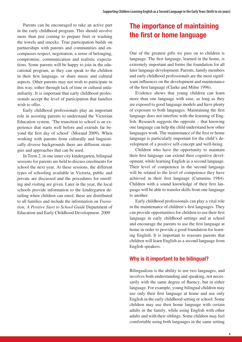<span id="page-8-0"></span>Parents can be encouraged to take an active part in the early childhood program. This should involve more than just coming to prepare fruit or washing the towels and smocks. True participation builds on partnerships with parents and communities and encompasses respect, negotiation, a sense of belonging, compromise, communication and realistic expectations. Some parents will be happy to join in the educational program, as they can speak to the children in their first language, or share music and cultural aspects. Other parents may not wish to participate in this way, either through lack of time or cultural unfamiliarity. It is important that early childhood professionals accept the level of participation that families wish to offer.

Early childhood professionals play an important role in assisting parents to understand the Victorian Education system. 'The transition to school is an experience that starts well before and extends far beyond the first day of school' (Morand 2009). When working with parents from culturally and linguistically diverse backgrounds there are different strategies and approaches that can be used.

In Term 2, in one inner city kindergarten, bilingual sessions for parents are held to discuss enrolments for school the next year. At these sessions, the different types of schooling available in Victoria, public and private are discussed and the procedures for enrolling and visiting are given. Later in the year, the local schools provide information to the kindergarten detailing when children can enrol, these are distributed to all families and include the information on *Transition; A Positive Start to School Guide* Department of Education and Early Childhood Development. 2009

# **The importance of maintaining the first or home language**

One of the greatest gifts we pass on to children is language. The first language, learned in the home, is extremely important and forms the foundation for all later language development. Parents, family members and early childhood professionals are the most significant influences on the development and maintenance of the first language (Clarke and Milne 1996).

Evidence shows that young children can learn more than one language with ease, as long as they are exposed to good language models and have plenty of exposure to both languages. Maintaining the first language does not interfere with the learning of English. Research suggests the opposite – that knowing one language can help the child understand how other languages work. The maintenance of the first or home language is particularly important for the child's development of a positive self-concept and well-being.

Children who have the opportunity to maintain their first language can extend their cognitive development, while learning English as a second language. Their level of competence in the second language will be related to the level of competence they have achieved in their first language (Cummins 1984). Children with a sound knowledge of their first language will be able to transfer skills from one language to another.

Early childhood professionals can play a vital role in the maintenance of children's first languages. They can provide opportunities for children to use their first language in early childhood settings and at school and encourage the parents to use the first language at home in order to provide a good foundation for learning English. It is important to reassure parents that children will learn English as a second language from English speakers.

### **Why is it important to be bilingual?**

Bilingualism is the ability to use two languages, and involves both understanding and speaking, not necessarily with the same degree of fluency, but in either language. For example, young bilingual children may use only their first language at home and use only English in the early childhood setting or school. Some children may use their home language with certain adults in the family, while using English with other adults and with their siblings. Some children may feel comfortable using both languages in the same setting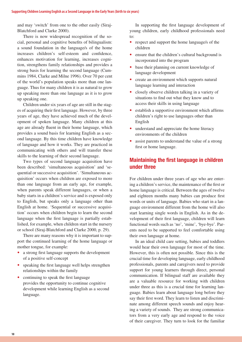<span id="page-9-0"></span>and may 'switch' from one to the other easily (Siraj-Blatchford and Clarke 2000).

There is now widespread recognition of the social, personal and cognitive benefits of bilingualism: a sound foundation in the language/s of the home increases children's self-esteem and confidence, enhances motivation for learning, increases cognition, strengthens family relationships and provides a strong basis for learning the second language (Cummins 1984, Clarke and Milne 1996). Over 70 per cent of the world's population speaks more than one language. Thus for many children it is as natural to grow up speaking more than one language as it is to grow up speaking one.

Children under six years of age are still in the stages of acquiring their first language. However, by three years of age, they have achieved much of the development of spoken language. Many children at this age are already fluent in their home language, which provides a sound basis for learning English as a second language. By this time children have knowledge of language and how it works. They are practiced in communicating with others and will transfer these skills to the learning of their second language.

Two types of second language acquisition have been described: 'simultaneous acquisition' and 'sequential or successive acquisition'. 'Simultaneous acquisition' occurs when children are exposed to more than one language from an early age, for example, when parents speak different languages, or when a baby starts in a children's service and is exposed only to English, but speaks only a language other than English at home. 'Sequential or successive acquisition' occurs when children begin to learn the second language when the first language is partially established, for example, when children start in the nursery or school (Siraj-Blatchford and Clarke 2000, p. 29).

There are many reasons why it is important to support the continued learning of the home language or mother tongue, for example:

- a strong first language supports the development of a positive self-concept
- speaking the first language well helps strengthen relationships within the family
- continuing to speak the first language provides the opportunity to continue cognitive development while learning English as a second language.

In supporting the first language development of young children, early childhood professionals need to:

- respect and support the home language/s of the children
- ensure that the children's cultural background is incorporated into the program
- base their planning on current knowledge of language development
- create an environment which supports natural language learning and interaction
- closely observe children talking in a variety of situations to find out what they know and to access their skills in using language
- establish a supportive environment which affirms children's right to use languages other than English
- understand and appreciate the home literacy environments of the children
- assist parents to understand the value of a strong first or home language.

### **Maintaining the first language in children under three**

For children under three years of age who are entering a children's service, the maintenance of the first or home language is critical. Between the ages of twelve and eighteen months many babies can produce first words or units of language. Babies who start in a language environment different from the home will also start learning single words in English. As in the development of their first language, children will learn functional words such as 'no', 'mine', 'bye-bye'. Parents need to be supported to feel comfortable using their own language at home.

In an ideal child care setting, babies and toddlers would hear their own language for most of the time. However, this is often not possible. Since this is the crucial time for developing language, early childhood professionals, parents and caregivers need to provide support for young learners through direct, personal communication. If bilingual staff are available they are a valuable resource for working with children under three as this is a crucial time for learning language. Babies learn about language long before they say their first word. They learn to listen and discriminate among different speech sounds and enjoy hearing a variety of sounds. They are strong communicators from a very early age and respond to the voice of their caregiver. They turn to look for the familiar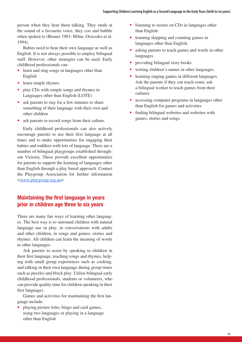<span id="page-10-0"></span>person when they hear them talking. They smile at the sound of a favourite voice, they coo and babble when spoken to (Bruner 1983; Milne, Orzeszko et al. 1994).

Babies need to hear their own language as well as English. It is not always possible to employ bilingual staff. However, other strategies can be used. Early childhood professionals can:

- learn and sing songs in languages other than English
- learn simple rhymes
- play CDs with simple songs and rhymes in Languages other than English (LOTE)
- ask parents to stay for a few minutes to share something of their language with their own and other children
- ask parents to record songs from their culture.

Early childhood professionals can also actively encourage parents to use their first language at all times and to make opportunities for engaging their babies and toddlers with lots of language. There are a number of bilingual playgroups established throughout Victoria. These provide excellent opportunities for parents to support the learning of languages other than English through a play based approach. Contact the Playgroup Association for further information <[www.playgroup.org.au](http://www.playgroup.org.au)>.

### **Maintaining the first language in years prior in children age three to six years**

There are many fun ways of learning other languages. The best way is to surround children with natural language use in play, in conversations with adults and other children, in songs and games, stories and rhymes. All children can learn the meaning of words in other languages.

Ask parents to assist by speaking to children in their first language, teaching songs and rhymes, helping with small group experiences such as cooking, and talking in their own language during group times such as puzzles and block play. Utilise bilingual early childhood professionals, students or volunteers, who can provide quality time for children speaking in their first languages.

Games and activities for maintaining the first language include:

• playing picture lotto, bingo and card games, using two languages or playing in a language other than English

- listening to stories on CDs in languages other than English
- learning skipping and counting games in languages other than English.
- asking parents to teach games and words in other languages
- providing bilingual story books
- writing children's names in other languages
- learning singing games in different languages. Ask the parents if they can teach some; ask a bilingual worker to teach games from their cultures
- accessing computer programs in languages other than English for games and activities
- finding bilingual websites and websites with games, stories and songs.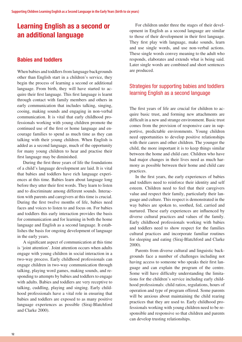# <span id="page-11-0"></span>**Learning English as a second or an additional language**

### **Babies and toddlers**

When babies and toddlers from language backgrounds other than English start in a children's service, they begin the process of learning a second or additional language. From birth, they will have started to acquire their first language. This first language is learnt through contact with family members and others in early communication that includes talking, singing, cooing, making sounds and engaging in non-verbal communication. It is vital that early childhood professionals working with young children promote the continued use of the first or home language and encourage families to spend as much time as they can talking with their young children. When English is added as a second language, much of the opportunity for many young children to hear and practise their first language may be diminished.

During the first three years of life the foundations of a child's language development are laid. It is vital that babies and toddlers have rich language experiences at this time. Babies learn about language long before they utter their first words. They learn to listen and to discriminate among different sounds. Interaction with parents and caregivers at this time is crucial. During the first twelve months of life, babies need faces and voices to listen to and focus on. For babies and toddlers this early interaction provides the basis for communication and for learning in both the home language and English as a second language. It establishes the basis for ongoing development of language in the early years.

A significant aspect of communication at this time is 'joint attention'. Joint attention occurs when adults engage with young children in social interaction in a two-way process. Early childhood professionals can engage children in two-way communication through talking, playing word games, making sounds, and responding to attempts by babies and toddlers to engage with adults. Babies and toddlers are very receptive to talking, cuddling, playing and singing. Early childhood professionals have a vital role in ensuring that babies and toddlers are exposed to as many positive language experiences as possible (Siraj-Blatchford and Clarke 2000).

For children under three the stages of their development in English as a second language are similar to those of their development in their first language. They first play with language, make sounds, learn and use single words, and use non-verbal actions. These single words convey meaning to the adult who responds, elaborates and extends what is being said. Later single words are combined and short sentences are produced.

### Strategies for supporting babies and toddlers learning English as a second language

The first years of life are crucial for children to acquire basic trust, and forming new attachments are difficult in a new and strange environment. Basic trust comes from the provision of responsive care in supportive, predictable environments. Young children need opportunities to develop positive relationships with their carers and other children. The younger the child, the more important it is to keep things similar between the home and child care. Children who have had major changes in their lives need as much harmony as possible between their home and child care practices.

In the first years, the early experiences of babies and toddlers need to reinforce their identity and self esteem. Children need to feel that their caregivers value and respect their family, particularly their language and culture. This respect is demonstrated in the way babies are spoken to, soothed, fed, carried and nurtured. These early experiences are influenced by diverse cultural practices and values of the family. Early childhood professionals working with babies and toddlers need to show respect for the families cultural practices and incorporate familiar routines for sleeping and eating (Siraj-Blatchford and Clarke 2000).

Parents from diverse cultural and linguistic backgrounds face a number of challenges including not having access to someone who speaks their first language and can explain the program of the centre. Some will have difficulty understanding the limitations for the children's service including early childhood professionals: child ratios, regulations, hours of operation and type of program offered. Some parents will be anxious about maintaining the child rearing practices that they are used to. Early childhood professionals working with young children need to be responsible and responsive so that children and parents can develop trusting relationships.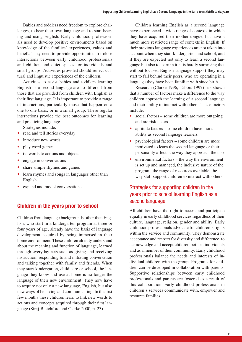<span id="page-12-0"></span>Babies and toddlers need freedom to explore challenges, to hear their own language and to start hearing and using English. Early childhood professionals need to develop positive environments based on knowledge of the families' experiences, values and beliefs. They need to provide opportunities for close interactions between early childhood professionals and children and quiet spaces for individuals and small groups. Activities provided should reflect cultural and linguistic experiences of the children.

Activities to assist babies and toddlers learning English as a second language are no different from those that are provided from children with English as their first language. It is important to provide a range of interactions, particularly those that happen on a one to one basis, or in a small group. These regular interactions provide the best outcomes for learning and practicing language.

Strategies include:

- read and tell stories everyday
- introduce new words
- play word games
- tie words to actions and objects
- engage in conversations
- share simple rhymes and games
- learn rhymes and songs in languages other than English
- expand and model conversations.

### **Children in the years prior to school**

Children from language backgrounds other than English, who start in a kindergarten program at three or four years of age, already have the basis of language development acquired by being immersed in their home environment. These children already understand about the meaning and function of language, learned through everyday acts such as giving and receiving instruction, responding to and initiating conversation and talking together with family and friends. When they start kindergarten, child care or school, the language they know and use at home is no longer the language of their new environment. They now have to acquire not only a new language, English, but also new ways of behaving and communicating. In the first few months these children learn to link new words to actions and concepts acquired through their first language (Siraj-Blatchford and Clarke 2000, p. 23).

Children learning English as a second language have experienced a wide range of contexts in which they have acquired their mother tongue, but have a much more restricted range of contexts in English. If their previous language experiences are not taken into account when they start kindergarten and school, and if they are expected not only to learn a second language but also to learn in it, it is hardly surprising that without focused English language support they may start to fall behind their peers, who are operating in a language they have been familiar with since birth.

Research (Clarke 1996, Tabors 1997) has shown that a number of factors make a difference to the way children approach the learning of a second language and their ability to interact with others. These factors include:

- social factors some children are more outgoing and are risk takers
- aptitude factors some children have more ability as second language learners
- psychological factors some children are more motivated to learn the second language or their personality affects the way they approach the task
- environmental factors the way the environment is set up and managed, the inclusive nature of the program, the range of resources available, the way staff support children to interact with others.

### Strategies for supporting children in the years prior to school learning English as a second language

All children have the right to access and participate equally in early childhood services regardless of their culture, language, religion, gender and ability. Early childhood professionals advocate for children's rights within the service and community. They demonstrate acceptance and respect for diversity and difference, to acknowledge and accept children both as individuals and as a member of their community. Early childhood professionals balance the needs and interests of individual children with the group. Programs for children can be developed in collaboration with parents. Supportive relationships between early childhood professionals and parents are fostered as a result of this collaboration. Early childhood professionals in children's services communicate with, empower and resource families.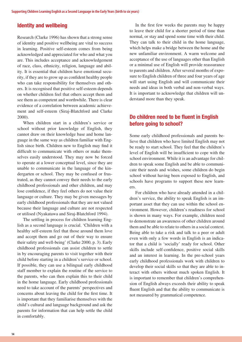#### <span id="page-13-0"></span>**Identity and wellbeing**

Research (Clarke 1996) has shown that a strong sense of identity and positive wellbeing are vital to success in learning. Positive self-esteem comes from being acknowledged and appreciated for who and what you are. This includes acceptance and acknowledgement of race, class, ethnicity, religion, language and ability. It is essential that children have emotional security, if they are to grow up as confident healthy people who can take responsibility for themselves and others. It is recognised that positive self-esteem depends on whether children feel that others accept them and see them as competent and worthwhile. There is clear evidence of a correlation between academic achievement and self-esteem (Siraj-Blatchford and Clarke 2000).

When children start in a children's service or school without prior knowledge of English, they cannot draw on their knowledge base and home language in the same way as children familiar with English since birth. Children new to English may find it difficult to communicate with others or make themselves easily understood. They may now be forced to operate at a lower conceptual level, since they are unable to communicate in the language of the kindergarten or school. They may be confused or frustrated, as they cannot convey their needs to the early childhood professionals and other children, and may lose confidence, if they feel others do not value their language or culture. They may be given messages by early childhood professionals that they are not valued because their language and culture are not respected or utilised (Nyakatawa and Siraj-Blatchford 1994).

The settling in process for children learning English as a second language is crucial. 'Children with a healthy self-esteem feel that those around them love and accept them and go out of their way to ensure their safety and well-being' (Clarke 2000, p. 3). Early childhood professionals can assist children to settle in by encouraging parents to visit together with their child before starting in a children's service or school. If possible, they can use a bilingual early childhood staff member to explain the routine of the service to the parents, who can then explain this to their child in the home language. Early childhood professionals need to take account of the parents' perspectives and concerns about leaving the child for the first time. It is important that they familiarise themselves with the child's cultural and language background and ask the parents for information that can help settle the child in comfortably.

In the first few weeks the parents may be happy to leave their child for a shorter period of time than normal, or stay and spend some time with their child. They can talk to their child in the home language, which helps make a bridge between the home and the new unfamiliar environment. A warm welcome and acceptance of the use of languages other than English or a minimal use of English will provide reassurance to parents and children. After several months of exposure to English children of three and four years of age will start using English and will communicate their needs and ideas in both verbal and non-verbal ways. It is important to acknowledge that children will understand more than they speak.

### **Do children need to be fluent in English before going to school?**

Some early childhood professionals and parents believe that children who have limited English may not be ready to start school. They feel that the children's level of English will be insufficient to cope with the school environment. While it is an advantage for children to speak some English and be able to communicate their needs and wishes, some children do begin school without having been exposed to English, and schools have programs to support these new learners.

For children who have already attended in a children's service, the ability to speak English is an important asset that they can use within the school environment. However, children's readiness for school is shown in many ways. For example, children need to demonstrate an awareness of other children around them and be able to relate to others in a social context. Being able to take a risk and talk to a peer or adult even with only a few words in English is an indicator that a child is 'socially' ready for school. Other skills include self-confidence, positive social skills and an interest in learning. In the pre-school years early childhood professionals work with children to develop their social skills so that they are able to interact with others without much spoken English. It is important to remember that children's comprehension of English always exceeds their ability to speak fluent English and that the ability to communicate is not measured by grammatical competence.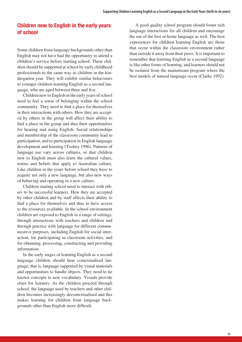### <span id="page-14-0"></span>**Children new to English in the early years of school**

Some children from language backgrounds other than English may not have had the opportunity to attend a children's service before starting school. These children should be supported at school by early childhood professionals in the same way as children in the kindergarten year. They will exhibit similar behaviours to younger children learning English as a second language, who are aged between three and five.

Children new to English in the early years of school need to feel a sense of belonging within the school community. They need to find a place for themselves in their interactions with others. How they are accepted by others in the group will affect their ability to find a place in the group and thus their opportunities for hearing and using English. Social relationships and membership of the classroom community lead to participation, and to participation in English language development and learning (Toohey 1996). Patterns of language use vary across cultures, so that children new to English must also learn the cultural values, norms and beliefs that apply to Australian culture. Like children in the years before school they have to acquire not only a new language, but also new ways of behaving and operating in a new culture.

Children starting school need to interact with others to be successful learners. How they are accepted by other children and by staff affects their ability to find a place for themselves and thus to have access to the resources available. In the school environment children are exposed to English in a range of settings, through interactions with teachers and children and through practice with language for different communicative purposes, including English for social interaction, for participating in classroom activities, and for obtaining, processing, constructing and providing information.

In the early stages of learning English as a second language children should hear contextualised language; that is, language supported by visual materials and opportunities to handle objects. They need to tie known concepts to new vocabulary. Visuals provide clues for learners. As the children proceed through school, the language used by teachers and other children becomes increasingly decontextualised and this makes learning for children from language backgrounds other than English more difficult.

A good quality school program should foster rich language interactions for all children and encourage the use of the first or home language as well. The best experiences for children learning English are those that occur within the classroom environment rather than outside it away from their peers. It is important to remember that learning English as a second language is like other forms of learning, and learners should not be isolated from the mainstream program where the best models of natural language occur (Clarke 1992).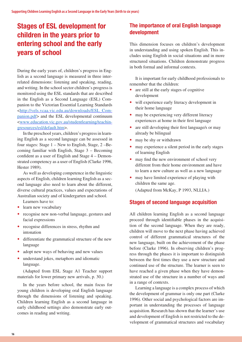# <span id="page-15-0"></span>**Stages of ESL development for children in the years prior to entering school and the early years of school**

During the early years of, children's progress in English as a second language is measured in three interrelated dimensions: listening and speaking, reading, and writing. In the school sector children's progress is monitored using the ESL standards that are described in the English as a Second Language (ESL) Companion to the Victorian Essential Learning Standards <[http://vels.vcaa.vic.edu.au/downloads/ESL\\_Com](http://vels.vcaa.vic.edu.au/downloads/ESL_Companion.pdf)[panion.pdf>](http://vels.vcaa.vic.edu.au/downloads/ESL_Companion.pdf) and the ESL developmental continuum <[www.education.vic.gov.au/studentlearning/teachin](http://www.education.vic.gov.au/studentlearning/teachingresources/esl/default.htm)[gresources/esl/default.htm](http://www.education.vic.gov.au/studentlearning/teachingresources/esl/default.htm)>.

In the preschool years, children's progress in learning English as a second language can be assessed in four stages: Stage 1 – New to English, Stage, 2 –Becoming familiar with English, Stage 3 – Becoming confident as a user of English and Stage 4 – Demonstrated competency as a user of English (Clarke 1996, Hester 1989).

As well as developing competence in the linguistic aspects of English, children learning English as a second language also need to learn about the different, diverse cultural practices, values and expectations of Australian society and of kindergarten and school.

Learners have to:

- learn new vocabulary
- recognise new non-verbal language, gestures and facial expressions
- recognise differences in stress, rhythm and intonation
- differentiate the grammatical structure of the new language
- adopt new ways of behaving and new values
- **•**  understand jokes, metaphors and idiomatic language.

(Adapted from ESL Stage A1 Teacher support materials for lower primary new arrivals, p. 30.)

In the years before school, the main focus for young children is developing oral English language through the dimensions of listening and speaking. Children learning English as a second language in early childhood settings also demonstrate early outcomes in reading and writing.

### **The importance of oral English language development**

This dimension focuses on children's development in understanding and using spoken English. This includes using English in social situations and in more structured situations. Children demonstrate progress in both formal and informal contexts.

It is important for early childhood professionals to remember that the children:

- are still at the early stages of cognitive development
- **•**  will experience early literacy development in their home language
- may be experiencing very different literacy experiences at home in their first language
- are still developing their first language/s or may already be bilingual
- may be shy or withdrawn
- may experience a silent period in the early stages of learning English
- may find the new environment of school very different from their home environment and have to learn a new culture as well as a new language
- may have limited experience of playing with children the same age.

(Adapted from McKay, P 1993, NLLIA.)

### **Stages of second language acquisition**

All children learning English as a second language proceed through identifiable phases in the acquisition of the second language. When they are ready, children will move to the next phase having achieved control of different grammatical structures of the new language, built on the achievement of the phase before (Clarke 1996). In observing children's progress through the phases it is important to distinguish between the first times they use a new structure and continued use of the structure. The learner is seen to have reached a given phase when they have demonstrated use of the structure in a number of ways and in a range of contexts.

Learning a language is a complex process of which the development of grammar is only one part (Clarke 1996). Other social and psychological factors are important in understanding the processes of language acquisition. Research has shown that the learner's use and development of English is not restricted to the development of grammatical structures and vocabulary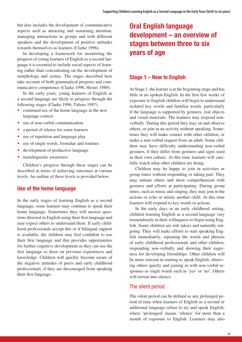<span id="page-16-0"></span>but also includes the development of communicative aspects such as attracting and sustaining attention, managing interactions in groups and with different speakers and the development of positive attitudes towards themselves as learners (Clarke 1996).

In developing a framework for monitoring the progress of young learners of English as a second language it is essential to include social aspects of learning rather than concentrating on the development of morphology and syntax. The stages described here take account of both grammatical progress and communicative competence (Clarke 1996, Hester 1989).

In the early years, young learners of English as a second language are likely to progress through the following stages (Clarke 1996, Tabors 1997):

- continued use of the home language in the new language context
- use of non-verbal communication
- a period of silence for some learners
- use of repetition and language play
- use of single words, formulae and routines
- development of productive language
- metalinguistic awareness.

Children's progress through these stages can be described in terms of achieving outcomes at various levels. An outline of these levels is provided below.

#### **Use of the home language**

In the early stages of learning English as a second language, some learners may continue to speak their home language. Sometimes they will answer questions directed in English using their first language and may expect others to understand them. If early childhood professionals accept this or if bilingual support is available, the children may feel confident to use their first language and this provides opportunities for further cognitive development as they can use the first language to draw on previous experiences and knowledge. Children will quickly become aware of the negative attitudes of peers and early childhood professionals, if they are discouraged from speaking their first language.

# **Oral English language development – an overview of stages between three to six years of age**

#### **Stage 1 – New to English**

At Stage 1, the learner is at the beginning stage and has little or no spoken English. In the first few weeks of exposure to English children will begin to understand isolated key words and familiar words, particularly if the language is supported by gestures, real objects and visual materials. The learners may respond nonverbally. During this period they may sit and observe others, or join in an activity without speaking. Sometimes they will make contact with other children, or make a non-verbal request from an adult. Some children may have difficulty understanding non-verbal gestures, if they differ from gestures and signs used in their own culture. At this time learners will carefully watch what other children are doing.

Children may be happy to join in activities or group times without responding or taking part. They may imitate others and show comprehension with gestures and efforts at participating. During group times, such as music and singing, they may join in the actions or echo or mimic another child. At this time learners will respond to key words or actions.

In the early days in an early childhood setting, children learning English as a second language vary tremendously in their willingness to begin using English. Some children are risk takers and naturally outgoing. They will make efforts to start speaking English immediately, repeating the words and phrases of early childhood professionals and other children, responding non-verbally and showing their eagerness for developing friendships. Other children will be more reticent in starting to speak English, observing others quietly and joining in with non-verbal responses or single words such as 'yes' or 'no'. Others will retreat into silence.

#### The silent period

The silent period can be defined as any prolonged period of time when learners of English as a second or additional language refuse to try and speak English, where 'prolonged' means 'silence' for more than a month of exposure to English. Learners may also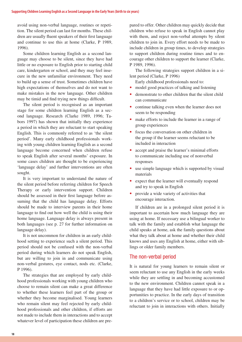avoid using non-verbal language, routines or repetition. The silent period can last for months. These children are usually fluent speakers of their first language and continue to use this at home (Clarke, P 1989, 1996).

Some children learning English as a second language may choose to be silent, since they have had little or no exposure to English prior to starting child care, kindergarten or school, and they may feel insecure in the new unfamiliar environment. They need to build up a sense of trust. Sometimes children have high expectations of themselves and do not want to make mistakes in the new language. Other children may be timid and find trying new things difficult.

The silent period is recognised as an important stage for some children learning English as a second language. Research (Clarke 1989, 1996; Tabors 1997) has shown that initially they experience a period in which they are reluctant to start speaking English. This is commonly referred to as 'the silent period'. Many early childhood professionals working with young children learning English as a second language become concerned when children refuse to speak English after several months' exposure. In some cases children are thought to be experiencing 'language delay' and further interventions are often sought.

It is very important to understand the nature of the silent period before referring children for Speech Therapy or early intervention support. Children should be assessed in their first language before assuming that the child has language delay. Efforts should be made to interview parents in their home language to find out how well the child is using their home language. Language delay is always present in both languages (see p. 27 for further information on language delay).

It is not uncommon for children in an early childhood setting to experience such a silent period. This period should not be confused with the non-verbal period during which learners do not speak English, but are willing to join in and communicate using non-verbal gestures, eye contact, nods etc. (Clarke, P 1996).

The strategies that are employed by early childhood professionals working with young children who choose to remain silent can make a great difference to whether these learners feel part of the group or whether they become marginalised. Young learners who remain silent may feel rejected by early childhood professionals and other children, if efforts are not made to include them in interactions and to accept whatever level of participation these children are prepared to offer. Other children may quickly decide that children who refuse to speak in English cannot play with them, and reject non-verbal attempts by silent children to join in. Every effort needs to be made to include children in group times, to develop strategies to support children during routine times and to encourage other children to support the learner (Clarke, P 1989, 1996).

The following strategies support children in a silent period (Clarke, P 1996)

Early childhood professionals need to:

- model good practices of talking and listening
- demonstrate to other children that the silent child can communicate
- continue talking even when the learner does not seem to be responding
- make efforts to include the learner in a range of group experiences
- focus the conversation on other children in the group if the learner seems reluctant to be included in interaction
- accept and praise the learner's minimal efforts to communicate including use of nonverbal responses
- use simple language which is supported by visual materials
- expect that the learner will eventually respond and try to speak in English
- provide a wide variety of activities that encourage interaction.

If children are in a prolonged silent period it is important to ascertain how much language they are using at home. If necessary use a bilingual worker to talk with the family and establish what language the child speaks at home, ask the family questions about what they talk about at home and whether their child knows and uses any English at home, either with siblings or older family members.

#### The non-verbal period

It is natural for young learners to remain silent or seem reluctant to use any English in the early weeks while they are settling in and becoming accustomed to the new environment. Children cannot speak in a language that they have had little exposure to or opportunities to practice. In the early days of transition to a children's service or to school, children may be reluctant to join in interactions with others. Initially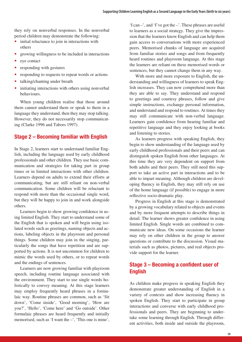<span id="page-18-0"></span>they rely on nonverbal responses. In the nonverbal period children may demonstrate the following:

- initial reluctance to join in interactions with others
- growing willingness to be included in interactions
- eye contact
- responding with gestures
- responding to requests to repeat words or actions
- talking/chanting under breath
- initiating interactions with others using nonverbal behaviours.

When young children realise that those around them cannot understand them or speak to them in a language they understand, then they may stop talking. However, they do not necessarily stop communicating (Clarke 1996 and Tabors 1997).

### **Stage 2 – Becoming familiar with English**

In Stage 2, learners start to understand familiar English, including the language used by early childhood professionals and other children. They use basic communication and strategies for taking part in group times or in limited interactions with other children. Learners depend on adults to extend their efforts at communicating, but are still reliant on non-verbal communication. Some children will be reluctant to respond with more than the occasional single word, but they will be happy to join in and work alongside others.

Learners begin to show growing confidence in using limited English. They start to understand some of the English that is spoken and will begin using isolated words such as greetings, naming objects and actions, labeling objects in the playroom and personal things. Some children may join in the singing, particularly the songs that have repetition and are supported by actions. It is not uncommon for children to mimic the words used by others, or to repeat words and the endings of sentences.

Learners are now growing familiar with playroom speech, including routine language associated with the environment. They start to use single words holistically to convey meaning. At this stage learners may employ frequently heard phrases in a formulaic way. Routine phrases are common, such as 'Sit down', 'Come inside', 'Good morning', 'How are you?', 'Hello', 'Come here' and 'Go outside'. Other formulaic phrases are heard frequently and initially memorised, such as 'I want the –', 'This one is mine',

'I can –', and 'I've got the –'. These phrases are useful to learners as a social strategy. They give the impression that the learners know English and can help them gain access to conversations with more experienced peers. Memorised chunks of language are acquired from familiar stories and songs and from frequently heard routines and playroom language. At this stage the learners are reliant on these memorised words or sentences, but they cannot change them in any way.

With more and more exposure to English, the understanding and willingness of learners to speak English increases. They can now comprehend more than they are able to say. They understand and respond to greetings and courtesy phrases, follow and give simple instructions, exchange personal information, and understand and respond to routines. At times they may still communicate with non-verbal language. Learners gain confidence from hearing familiar and repetitive language and they enjoy looking at books and listening to stories.

As learners progress with speaking English, they begin to show understanding of the language used by early childhood professionals and their peers and can distinguish spoken English from other languages. At this time they are very dependent on support from both adults and their peers. They still need this support to take an active part in interactions and to be able to impart meaning. Although children are developing fluency in English, they may still rely on use of the home language (if possible) to engage in more reflective socio-dramatic play.

Progress in English at this stage is demonstrated by a growing vocabulary related to objects and events and by more frequent attempts to describe things in detail. The learner shows greater confidence in using limited English. Single words are combined to communicate new ideas. On some occasions the learner may rely on other children in the group to answer questions or contribute to the discussion. Visual materials such as photos, pictures, and real objects provide support for the learner.

### **Stage 3 – Becoming a confident user of English**

As children make progress in speaking English they demonstrate greater understanding of English in a variety of contexts and show increasing fluency in spoken English. They start to participate in group interactions and converse with early childhood professionals and peers. They are beginning to undertake some learning through English. Through different activities, both inside and outside the playroom,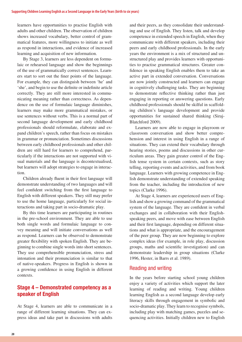<span id="page-19-0"></span>learners have opportunities to practise English with adults and other children. The observation of children shows increased vocabulary, better control of grammatical features, more willingness to initiate as well as respond in interactions, and evidence of increased learning and acquisition of new information.

By Stage 3, learners are less dependent on formulaic or rehearsed language and show the beginnings of the use of grammatically correct sentences. Learners start to sort out the finer points of the language. For example, they can distinguish between 'he' and 'she', and begin to use the definite or indefinite article correctly. They are still more interested in communicating meaning rather than correctness. As dependence on the use of formulaic language diminishes, learners may make more grammatical mistakes, or use sentences without verbs. This is a normal part of second language development and early childhood professionals should reformulate, elaborate and expand children's speech, rather than focus on mistakes in grammar or pronunciation. Sometimes discussions between early childhood professionals and other children are still hard for learners to comprehend, particularly if the interactions are not supported with visual materials and the language is decontextualised, but learners will adopt strategies to engage in interaction.

Children already fluent in their first language will demonstrate understanding of two languages and will feel confident switching from the first language to English with different speakers. They still may prefer to use the home language, particularly for social interactions and taking part in socio-dramatic play.

By this time learners are participating in routines in the pre-school environment. They are able to use both single words and formulaic language to convey meaning and will initiate conversations as well as respond. Learners can be observed to demonstrate greater flexibility with spoken English. They are beginning to combine single words into short sentences. They use comprehensible pronunciation, stress and intonation and their pronunciation is similar to that of native-speakers. Progress in English is shown in a growing confidence in using English in different contexts.

### **Stage 4 – Demonstrated competency as a speaker of English**

At Stage 4, learners are able to communicate in a range of different learning situations. They can express ideas and take part in discussions with adults

and their peers, as they consolidate their understanding and use of English. They listen, talk and develop competence in extended speech in English, when they communicate with different speakers, including their peers and early childhood professionals. In the early years the environment is a mix of structured and unstructured play and provides learners with opportunities to practise grammatical structures. Greater confidence in speaking English enables them to take an active part in extended conversation. Conversations are now jointly constructed and learners can engage in cognitively challenging tasks. They are beginning to demonstrate reflective thinking rather than just engaging in reporting or answering questions. Early childhood professionals should be skilful in scaffolding children's language development and provide opportunities for sustained shared thinking (Siraj-Blatchford 2009).

Learners are now able to engage in playroom or classroom conversation and show better comprehension and interest in using English in a range of situations. They can extend their vocabulary through hearing stories, poems and discussions in other curriculum areas. They gain greater control of the English tense system in certain contexts, such as story telling, reporting events and activities, and from book language. Learners with growing competence in English demonstrate understanding of extended speaking from the teacher, including the introduction of new topics (Clarke 1996).

At Stage 4, learners are experienced users of English and show a growing command of the grammatical system of the language. They are confident in verbal exchanges and in collaboration with their Englishspeaking peers, and move with ease between English and their first language, depending on different situations and what is appropriate, and the encouragement of the peer group. They are now beginning to explore complex ideas (for example, in role play, discussion groups, maths and scientific investigation) and can demonstrate leadership in group situations (Clarke 1996, Hester, in Barrs et al. 1989).

#### Reading and writing

In the years before starting school young children enjoy a variety of activities which support the later learning of reading and writing. Young children learning English as a second language develop early literacy skills through engagement in symbolic and socio-dramatic play. They learn to recognise symbols, including play with matching games, puzzles and sequencing activities. Initially children new to English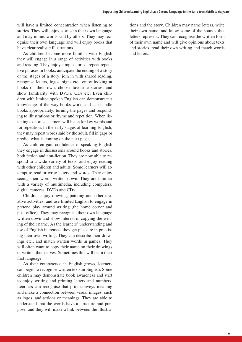will have a limited concentration when listening to stories. They will enjoy stories in their own language and may mimic words said by others. They may recognise their own language and will enjoy books that have clear realistic illustrations.

As children become more familiar with English they will engage in a range of activities with books and reading. They enjoy simple stories, repeat repetitive phrases in books, anticipate the ending of a story or the stages of a story, join in with shared reading, recognise letters, logos, signs etc., enjoy looking at books on their own, choose favourite stories, and show familiarity with DVDs, CDs etc. Even children with limited spoken English can demonstrate a knowledge of the way books work, and can handle books appropriately, turning the pages and responding to illustrations or rhyme and repetition. When listening to stories, learners will listen for key words and for repetition. In the early stages of learning English, they may repeat words said by the adult, fill in gaps or predict what is coming on the next page.

As children gain confidence in speaking English they engage in discussions around books and stories, both fiction and non-fiction. They are now able to respond to a wide variety of texts, and enjoy reading with other children and adults. Some learners will attempt to read or write letters and words. They enjoy seeing their words written down. They are familiar with a variety of multimedia, including computers, digital cameras, DVDs and CDs.

Children enjoy drawing, painting and other creative activities, and use limited English to engage in pretend play around writing (the home corner and post office). They may recognise their own language written down and show interest in copying the writing of their name. As the learners' understanding and use of English increases, they get pleasure in practising their own writing. They can describe their drawings etc., and match written words in games. They will often want to copy their name on their drawings or write it themselves. Sometimes this will be in their first language.

As their competence in English grows, learners can begin to recognise written texts in English. Some children may demonstrate book awareness and start to enjoy writing and printing letters and numbers. Learners can recognise that print conveys meaning and make a connection between visual images, such as logos, and actions or meanings. They are able to understand that the words have a structure and purpose, and they will make a link between the illustrations and the story. Children may name letters, write their own name, and know some of the sounds that letters represent. They can recognise the written form of their own name and will give opinions about texts and stories, read their own writing and match words and letters.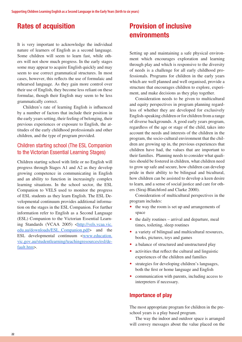# <span id="page-21-0"></span>**Rates of acquisition**

It is very important to acknowledge the individual nature of learners of English as a second language. Some children will seem to learn fast, while others will not show much progress. In the early stages some may appear to acquire English quickly and may seem to use correct grammatical structures. In most cases, however, this reflects the use of formulaic and rehearsed language. As they gain more control over their use of English, they become less reliant on these formulae, though their English may seem to be less grammatically correct.

Children's rate of learning English is influenced by a number of factors that include their position in the early years setting, their feeling of belonging, their previous experiences or exposure to English, the attitudes of the early childhood professionals and other children, and the type of program provided.

### Children starting school (The ESL Companion to the Victorian Essential Learning Stages)

Children starting school with little or no English will progress through Stages A1 and A2 as they develop growing competence in communicating in English and an ability to function in increasingly complex learning situations. In the school sector, the ESL Companion to VELS used to monitor the progress of ESL students as they learn English. The ESL Developmental continuum provides additional information on the stages in the ESL Companion. For further information refer to English as a Second Language (ESL) Companion to the Victorian Essential Learning Standards (VCAA 2005) <[http://vels.vcaa.vic.](http://vels.vcaa.vic.edu.au/downloads/ESL_Companion.pdf) [edu.au/downloads/ESL\\_Companion.pdf](http://vels.vcaa.vic.edu.au/downloads/ESL_Companion.pdf)> and the ESL developmental continuum [<www.education.](http://www.education.vic.gov.au/studentlearning/teachingresources/esl/default.htm) [vic.gov.au/studentlearning/teachingresources/esl/de](http://www.education.vic.gov.au/studentlearning/teachingresources/esl/default.htm)[fault.htm>](http://www.education.vic.gov.au/studentlearning/teachingresources/esl/default.htm).

# **Provision of inclusive environments**

Setting up and maintaining a safe physical environment which encourages exploration and learning through play and which is responsive to the diversity of needs is a challenge for all early childhood professionals. Programs for children in the early years which are well planned and well organised, provide a structure that encourages children to explore, experiment, and make decisions as they play together.

Consideration needs to be given to multicultural and equity perspectives in program planning regardless of whether they are developed for exclusively English-speaking children or for children from a range of diverse backgrounds. A good early years program, regardless of the age or stage of the child, takes into account the needs and interests of the children in the program, the socio-cultural environment that the children are growing up in, the previous experiences that children have had, the values that are important to their families. Planning needs to consider what qualities should be fostered in children, what children need to grow up safe and secure, how children can develop pride in their ability to be bilingual and bicultural, how children can be assisted to develop a keen desire to learn, and a sense of social justice and care for others (Siraj-Blatchford and Clarke 2000).

Consideration of multicultural perspectives in the program includes:

- the way the room is set up and arrangements of space
- the daily routines arrival and departure, meal times, toileting, sleep routines
- a variety of bilingual and multicultural resources, books, pictures, toys and games
- a balance of structured and unstructured play
- activities that reflect the cultural and linguistic experiences of the children and families
- strategies for developing children's languages, both the first or home language and English
- communication with parents, including access to interpreters if necessary.

#### **Importance of play**

The most appropriate program for children in the preschool years is a play based program.

The way the indoor and outdoor space is arranged will convey messages about the value placed on the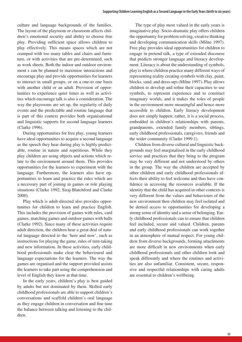culture and language backgrounds of the families. The layout of the playroom or classroom affects children's emotional security and ability to choose free play. Providing sufficient space allows children to play effectively. This means spaces which are not cramped with too many tables and chairs and furniture, or with activities that are pre-determined, such as work sheets. Both the indoor and outdoor environment s can be planned to maximise interactions and encourage play and provide opportunities for learners to interact in small groups, or on a one-to one basis with another child or an adult. Provision of opportunities to experience quiet times as well as activities which encourage talk is also a consideration. The way the playrooms are set up, the regularity of daily events and the predictable and routine language that is part of this context provides both organisational and linguistic supports for second language learners (Clarke 1996).

During opportunities for free play, young learners have ideal opportunities to acquire a second language as the speech they hear during play is highly predictable, routine in nature and repetitious. While they play children are using objects and actions which relate to the environment around them. This provides opportunities for the learners to experiment with the language. Furthermore, the learners also have opportunities to learn and practice the rules which are a necessary part of joining in games or role playing situations (Clarke 1992, Siraj-Blatchford and Clarke 2000).

Play which is adult-directed also provides opportunities for children to learn and practice English. This includes the provision of games with rules, card games, matching games and outdoor games with balls (Clarke 1992). Since many of these activities require adult direction, the children hear a great deal of natural language directed to the 'here and now', such as instructions for playing the game, rules of turn-taking and new information. In these activities, early childhood professionals make clear the behavioural and language expectations for the learners. The way the games are organised and the support provided assists the learners to take part using the comprehension and level of English they know at that time.

In the early years, children's play is best guided by adults but not dominated by them. Skilled early childhood professionals are able to support children's conversations and scaffold children's oral language as they engage children in conversation and fine tune the balance between talking and listening to the children.

The type of play most valued in the early years is imaginative play. Socio-dramatic play offers children the opportunity for problem solving, creative thinking and developing communication skills (Milne 1997). Free play provides ideal opportunities for children to engage in pretend talk, a type of extended discourse that predicts stronger language and literacy development. Literacy is about the understanding of symbols, play is where children practice many different ways of representing reality creating symbols with clay, paint, blocks, sand, and dress-ups (Milne 1997). Play allows children to develop and refine their capacities to use symbols, to represent experience and to construct imaginary worlds, and it makes the roles of people in the environment more meaningful and hence more accessible to children. Early literacy development does not simply happen; rather, it is a social process, embedded in children's relationships with parents, grandparents, extended family members, siblings, early childhood professionals, caregivers, friends and the wider community (Clarke 1999:1).

Children from diverse cultural and linguistic backgrounds may feel marginalised in the early childhood service and practices that they bring to the program may be very different and not understood by others in the group. The way the children are accepted by other children and early childhood professionals affects their ability to feel welcome and thus have confidence in accessing the resources available. If the identity that the child has acquired in other contexts is very different from the values and behaviours of the new environment then children may feel isolated and be denied access to opportunities for developing a strong sense of identity and a sense of belonging. Early childhood professionals can to ensure that children feel included, secure and valued. Children, parents and early childhood professionals can work together in an atmosphere of mutual respect. For young children from diverse backgrounds, forming attachments are more difficult in new environments when early childhood professionals and other children look and speak differently and where the routines and activities are also unfamiliar. Consistent, secure, responsive and respectful relationships with caring adults are essential to children's wellbeing.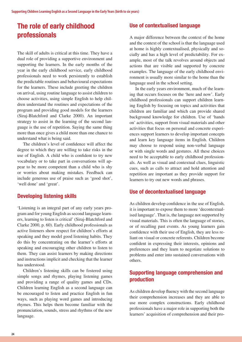# <span id="page-23-0"></span>**The role of early childhood professionals**

The skill of adults is critical at this time. They have a dual role of providing a supportive environment and supporting the learners. In the early months of the year in the early childhood service, early childhood professionals need to work persistently to establish the predictable routines and behavioural expectations for the learners. These include greeting the children on arrival, using routine language to assist children to choose activities, using simple English to help children understand the routines and expectations of the program and providing good models for the learners (Siraj-Blatchford and Clarke 2000). An important strategy to assist in the learning of the second language is the use of repetition. Saying the same thing more than once gives a child more than one chance to understand what is being said.

The children's level of confidence will affect the degree to which they are willing to take risks in the use of English. A child who is confident to try new vocabulary or to take part in conversations will appear to be more competent than a child who is shy or worries about making mistakes. Feedback can include generous use of praise such as 'good shot', 'well done' and 'great'.

### **Developing listening skills**

'Listening is an integral part of any early years program and for young English as second language learners, learning to listen is critical' (Siraj-Blatchford and Clarke 2000, p. 60). Early childhood professionals as active listeners show respect for children's efforts at speaking and they model good listening habits. They do this by concentrating on the learner's efforts at speaking and encouraging other children to listen to them. They can assist learners by making directions and instructions implicit and checking that the learner has understood.

Children's listening skills can be fostered using simple songs and rhymes, playing listening games and providing a range of quality games and CDs. Children learning English as a second language can be encouraged to listen and practice English in fun ways, such as playing word games and introducing rhymes. This helps them become familiar with the pronunciation, sounds, stress and rhythms of the new language.

### **Use of contextualised language**

A major difference between the context of the home and the context of the school is that the language used at home is highly contextualised, physically and socially and has a high level of predictability. For example, most of the talk revolves around objects and actions that are visible and supported by concrete examples. The language of the early childhood environment is usually more similar to the home than the language used in the school setting.

In the early years environment, much of the learning that occurs focuses on the 'here and now'. Early childhood professionals can support children learning English by focusing on topics and activities that children are familiar and which can provide shared background knowledge for children. Use of 'hands on' activities, support from visual materials and other activities that focus on personal and concrete experiences support learners to develop important concepts and learn key language items in English. Children may choose to respond using non-verbal language or with single words and gestures. All these choices need to be acceptable to early childhood professionals. As well as visual and contextual clues, linguistic cues, such as calls to attract and hold attention and repetition are important as they provide support for learners to try out new words and phrases.

### **Use of decontextualised language**

As children develop confidence in the use of English, it is important to expose them to more 'decontextualised language'. That is, the language not supported by visual materials. This is often the language of stories, or of recalling past events. As young learners gain confidence with their use of English, they are less reliant on visual or concrete referents. Children become confident in expressing their interests, opinions and preferences and they learn to negotiate solutions to problems and enter into sustained conversations with others.

### **Supporting language comprehension and production**

As children develop fluency with the second language their comprehension increases and they are able to use more complex constructions. Early childhood professionals have a major role in supporting both the learners' acquisition of comprehension and their pro-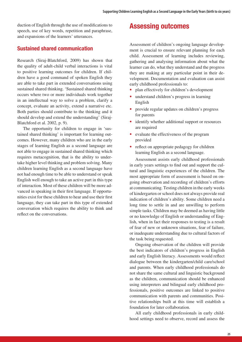<span id="page-24-0"></span>duction of English through the use of modifications to speech, use of key words, repetition and paraphrase, and expansions of the learners' utterances.

#### **Sustained shared communication**

Research (Siraj-Blatchford, 2009) has shown that the quality of adult-child verbal interactions is vital to positive learning outcomes for children. If children have a good command of spoken English they are able to take part in extended conversations using sustained shared thinking. 'Sustained shared thinking occurs where two or more individuals work together in an intellectual way to solve a problem, clarify a concept, evaluate an activity, extend a narrative etc. Both parties should contribute to the thinking and it should develop and extend the understanding' (Siraj-Blatchford et al. 2002, p. 9).

The opportunity for children to engage in 'sustained shared thinking' is important for learning outcomes. However, many children who are in the early stages of learning English as a second language are not able to engage in sustained shared thinking which requires metacognition, that is the ability to undertake higher level thinking and problem solving. Many children learning English as a second language have not had enough time to be able to understand or speak English well enough to take an active part in this type of interaction. Most of these children will be more advanced in speaking in their first language. If opportunities exist for these children to hear and use their first language, they can take part in this type of extended conversation which requires the ability to think and reflect on the conversations.

# **Assessing outcomes**

Assessment of children's ongoing language development is crucial to ensure relevant planning for each child. Assessment of learning includes reviewing, gathering and analysing information about what the learner can do, what they understand and the progress they are making at any particular point in their development. Documentation and evaluation can assist early childhood professionals to:

- plan effectively for children's development
- **understand children's progress in learning** English
- provide regular updates on children's progress for parents
- identify whether additional support or resources are required
- evaluate the effectiveness of the program provided
- reflect on appropriate pedagogy for children learning English as a second language.

Assessment assists early childhood professionals in early years settings to find out and support the cultural and linguistic experiences of the children. The most appropriate form of assessment is based on ongoing observation and recording of children's efforts at communicating. Testing children in the early weeks of kindergarten or school does not always provide real indication of children's ability. Some children need a long time to settle in and are unwilling to perform simple tasks. Children may be deemed as having little or no knowledge of English or understanding of English, when in fact their responses to testing is a result of fear of new or unknown situations, fear of failure, or inadequate understanding due to cultural factors of the task being requested.

Ongoing observation of the children will provide the best indicators of children's progress in English and early English literacy. Assessments would reflect dialogue between the kindergarten/child care/school and parents. When early childhood professionals do not share the same cultural and linguistic background as the children, communication should be enhanced using interpreters and bilingual early childhood professionals, positive outcomes are linked to positive communication with parents and communities. Positive relationships built at this time will establish a foundation for later collaboration.

All early childhood professionals in early childhood settings need to observe, record and assess the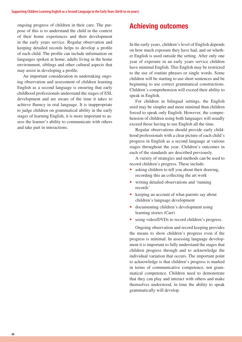<span id="page-25-0"></span>ongoing progress of children in their care. The purpose of this is to understand the child in the context of their home experiences and their development in the early years service. Regular observation and keeping detailed records helps to develop a profile of each child. The profile can include information on languages spoken at home, adults living in the home environment, siblings and other cultural aspects that may assist in developing a profile.

An important consideration in undertaking ongoing observation and assessment of children learning English as a second language is ensuring that early childhood professionals understand the stages of ESL development and are aware of the time it takes to achieve fluency in oral language. It is inappropriate to judge children on grammatical ability in the early stages of learning English, it is more important to assess the learner's ability to communicate with others and take part in interactions.

# **Achieving outcomes**

In the early years, children's level of English depends on how much exposure they have had, and on whether English is used outside the setting. After only one year of exposure in an early years service children have minimal English. This English may be restricted to the use of routine phrases or single words. Some children will be starting to use short sentences and be beginning to use correct grammatical constructions. Children's comprehension will exceed their ability to speak in English.

For children in bilingual settings, the English used may be simpler and more minimal than children forced to speak only English. However, the comprehension of children using both languages will usually exceed those having to use English all the time.

Regular observations should provide early childhood professionals with a clear picture of each child's progress in English as a second language at various stages throughout the year. Children's outcomes in each of the standards are described previously.

A variety of strategies and methods can be used to record children's progress. These include:

- asking children to tell you about their drawing, recording this an collecting the art work
- **•**  writing detailed observations and 'running records'
- keeping an account of what parents say about children's language development
- documenting children's development using learning stories (Carr)
- using video/DVDs to record children's progress.

Ongoing observation and record keeping provides the means to show children's progress even if the progress is minimal. In assessing language development it is important to fully understand the stages that children progress through and to acknowledge the individual variation that occurs. The important point to acknowledge is that children's progress is marked in terms of communicative competence, not grammatical competence. Children need to demonstrate that they can play and interact with others and make themselves understood, in time the ability to speak grammatically will develop.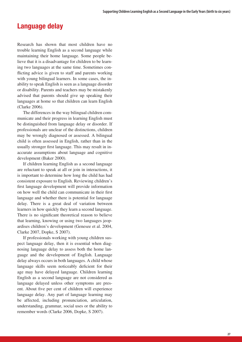### <span id="page-26-0"></span>**Language delay**

Research has shown that most children have no trouble learning English as a second language while maintaining their home language. Some people believe that it is a disadvantage for children to be learning two languages at the same time. Sometimes conflicting advice is given to staff and parents working with young bilingual learners. In some cases, the inability to speak English is seen as a language disorder or disability. Parents and teachers may be mistakenly advised that parents should give up speaking their languages at home so that children can learn English (Clarke 2006).

The differences in the way bilingual children communicate and their progress in learning English must be distinguished from language delay or disorder. If professionals are unclear of the distinctions, children may be wrongly diagnosed or assessed. A bilingual child is often assessed in English, rather than in the usually stronger first language. This may result in inaccurate assumptions about language and cognitive development (Baker 2000).

If children learning English as a second language are reluctant to speak at all or join in interactions, it is important to determine how long the child has had consistent exposure to English. Reviewing children's first language development will provide information on how well the child can communicate in their first language and whether there is potential for language delay. There is a great deal of variation between learners in how quickly they learn a second language. There is no significant theoretical reason to believe that learning, knowing or using two languages jeopardises children's development (Genesee et al. 2004, Clarke 2007, Dopke, S 2007).

If professionals working with young children suspect language delay, then it is essential when diagnosing language delay to assess both the home language and the development of English. Language delay always occurs in both languages. A child whose language skills seem noticeably deficient for their age may have delayed language. Children learning English as a second language are not considered as language delayed unless other symptoms are present. About five per cent of children will experience language delay. Any part of language learning may be affected, including pronunciation, articulation, understanding, grammar, social uses or the ability to remember words (Clarke 2006, Dopke, S 2007).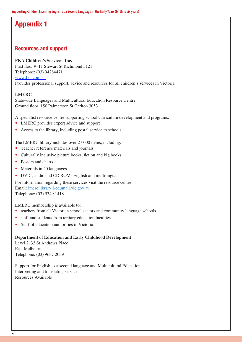# <span id="page-27-0"></span>**Appendix 1**

### **Resources and support**

#### **FKA Children's Services, Inc.**

First floor 9–11 Stewart St Richmond 3121 Telephone: (03) 94284471 [www.fka.com.au](http://www.fka.com.au) Provides professional support, advice and resources for all children's services in Victoria

#### **LMERC**

Statewide Languages and Multicultural Education Resource Centre Ground floor, 150 Palmerston St Carlton 3053

A specialist resource centre supporting school curriculum development and programs.

- **•**  LMERC provides expert advice and support
- Access to the library, including postal service to schools

The LMERC library includes over 27 000 items, including:

- Teacher reference materials and journals
- Culturally inclusive picture books, fiction and big books
- Posters and charts
- **Materials in 40 languages**
- **•**  DVDs, audio and CD ROMs English and multilingual

For information regarding these services visit the resource centre Email: [lmerc.library@edumail.vic.gov.au](mailto:lmerc.library@edumail.vic.gov.au) Telephone: (03) 9349 1418

LMERC membership is available to:

- teachers from all Victorian school sectors and community language schools
- staff and students from tertiary education faculties
- **Staff of education authorities in Victoria.**

#### **Department of Education and Early Childhood Development**

Level 2, 33 St Andrews Place East Melbourne Telephone: (03) 9637 2039

Support for English as a second language and Multicultural Education Interpreting and translating services Resources Available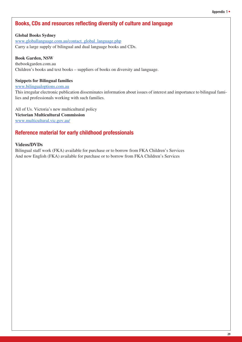### <span id="page-28-0"></span>**Books, CDs and resources reflecting diversity of culture and language**

#### **Global Books Sydney** [www.globallanguage.com.au/contact\\_global\\_language.php](http://www.globallanguage.com.au/contact_global_language.php) Carry a large supply of bilingual and dual language books and CDs.

#### **Book Garden, NSW**

thebookgarden.com.au Children's books and text books – suppliers of books on diversity and language.

#### **Snippets for Bilingual families**

#### [www.bilingualoptions.com.au](http://www.bilingualoptions.com.au)

This irregular electronic publication disseminates information about issues of interest and importance to bilingual families and professionals working with such families.

All of Us. Victoria's new multicultural policy **Victorian Multicultural Commission** [www.multicultural.vic.gov.au/](http://www.multicultural.vic.gov.au/)

### **Reference material for early childhood professionals**

#### **Videos/DVDs**

Bilingual staff work (FKA) available for purchase or to borrow from FKA Children's Services And now English (FKA) available for purchase or to borrow from FKA Children's Services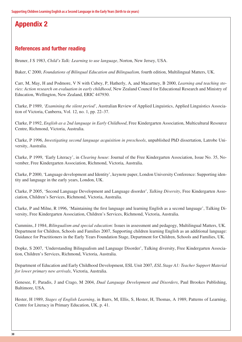# <span id="page-29-0"></span>**Appendix 2**

### **References and further reading**

Bruner, J S 1983, *Child's Talk: Learning to use language*, Norton, New Jersey, USA.

Baker, C 2000, *Foundations of Bilingual Education and Bilingualism,* fourth edition, Multilingual Matters, UK.

Carr, M, May, H and Podmore, V N with Cubey, P, Hatherly, A, and Macartney, B 2000, *Learning and teaching stories: Action research on evaluation in early childhood*, New Zealand Council for Educational Research and Ministry of Education, Wellington, New Zealand, ERIC 447930.

Clarke, P 1989, *'Examining the silent period'*, Australian Review of Applied Linguistics, Applied Linguistics Association of Victoria, Canberra, Vol. 12, no. 1, pp. 22–37.

Clarke, P 1992, *English as a 2nd language in Early Childhood*, Free Kindergarten Association, Multicultural Resource Centre, Richmond, Victoria, Australia.

Clarke, P 1996, *Investigating second language acquisition in preschools*, unpublished PhD dissertation, Latrobe University, Australia.

Clarke, P 1999, 'Early Literacy', in *Clearing house*: Journal of the Free Kindergarten Association, Issue No. 35, November, Free Kindergarten Association, Richmond, Victoria, Australia.

Clarke, P 2000, 'Language development and Identity', keynote paper, London University Conference: Supporting identity and language in the early years, London, UK.

Clarke, P 2005, 'Second Language Development and Language disorder', *Talking Diversity*, Free Kindergarten Association, Children's Services, Richmond, Victoria, Australia.

Clarke, P and Milne, R 1996, 'Maintaining the first language and learning English as a second language', Talking Diversity, Free Kindergarten Association, Children's Services, Richmond, Victoria, Australia.

Cummins, J 1984, *Bilingualism and special education*: Issues in assessment and pedagogy, Multilingual Matters, UK. Department for Children, Schools and Families 2007, Supporting children learning English as an additional language: Guidance for Practitioners in the Early Years Foundation Stage, Department for Children, Schools and Families, UK.

Dopke, S 2007, 'Understanding Bilingualism and Language Disorder', Talking diversity, Free Kindergarten Association, Children's Services, Richmond, Victoria, Australia.

Department of Education and Early Childhood Development, ESL Unit 2007, *ESL Stage A1: Teacher Support Material for lower primary new arrivals*, Victoria, Australia.

Genesee, F, Paradis, J and Crago, M 2004, *Dual Language Development and Disorders*, Paul Brookes Publishing, Baltimore, USA.

Hester, H 1989, *Stages of English Learning*, in Barrs, M, Ellis, S, Hester, H, Thomas, A 1989, Patterns of Learning, Centre for Literacy in Primary Education, UK, p. 41.